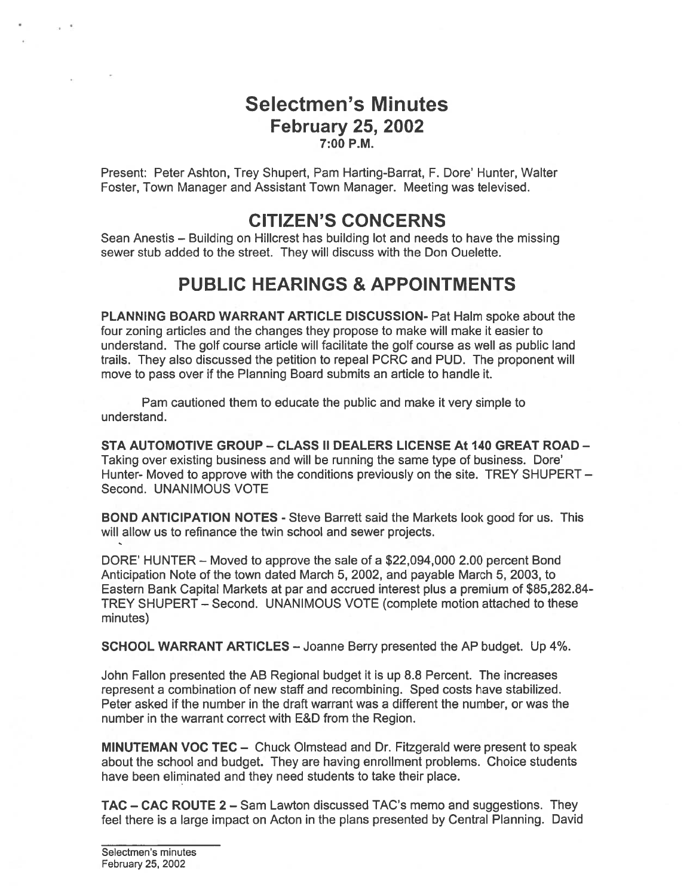## Selectmen's Minutes February 25, 2002 7:00 P.M.

Present: Peter Ashton, Trey Shupert, Pam Harting-Barrat, F. Dore' Hunter, Walter Foster, Town Manager and Assistant Town Manager. Meeting was televised.

# CITIZEN'S CONCERNS

Sean Anestis — Building on Hillcrest has building lot and needs to have the missing sewer stub added to the street. They will discuss with the Don Ouelette.

# PUBLIC HEARINGS & APPOINTMENTS

PLANNING BOARD WARRANT ARTICLE DISCUSSION- Pat Halm spoke about the four zoning articles and the changes they propose to make will make it easier to understand. The golf course article will facilitate the golf course as well as public land trails. They also discussed the petition to repeal PCRC and PUD. The proponen<sup>t</sup> will move to pass over if the Planning Board submits an article to handle it.

Pam cautioned them to educate the public and make it very simple to understand.

STA AUTOMOTIVE GROUP — CLASS II DEALERS LICENSE At 140 GREAT ROAD — Taking over existing business and will be running the same type of business. Dore' Hunter- Moved to approve with the conditions previously on the site. TREY SHUPERT — Second. UNANIMOUS VOTE

BOND ANTICIPATION NOTES - Steve Barrett said the Markets look good for us. This will allow us to refinance the twin school and sewer projects.

DORE' HUNTER — Moved to approve the sale of <sup>a</sup> \$22,094,000 2.00 percen<sup>t</sup> Bond Anticipation Note of the town dated March 5, 2002, and payable March 5, 2003, to Eastern Bank Capital Markets at par and accrued interest plus <sup>a</sup> premium of \$85,282.84- TREY SHUPERT — Second. UNANIMOUS VOTE (complete motion attached to these minutes)

SCHOOL WARRANT ARTICLES — Joanne Berry presented the AP budget. Up 4%.

John FaIIon presented the AB Regional budget it is up 8.8 Percent. The increases represen<sup>t</sup> <sup>a</sup> combination of new staff and recombining. Sped costs have stabilized. Peter asked if the number in the draft warrant was <sup>a</sup> different the number, or was the number in the warrant correct with E&D from the Region.

MINUTEMAN VOC TEC — Chuck Olmstead and Dr. Fitzgerald were presen<sup>t</sup> to speak about the school and budget. They are having enrollment problems. Choice students have been eliminated and they need students to take their place.

TAC — CAC ROUTE 2 — Sam Lawton discussed TAC's memo and suggestions. They feel there is <sup>a</sup> large impact on Acton in the plans presented by Central Planning. David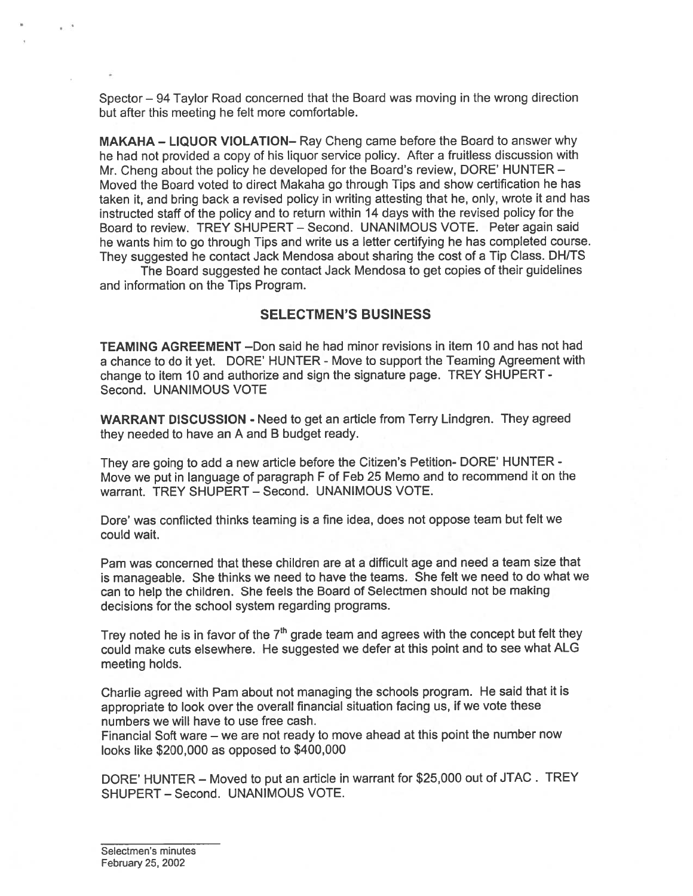Spector — 94 Taylor Road concerned that the Board was moving in the wrong direction but after this meeting he felt more comfortable.

MAKAHA — LIQUOR VIOLATION— Ray Cheng came before the Board to answer why he had not provided <sup>a</sup> copy of his liquor service policy. After <sup>a</sup> fruitless discussion with Mr. Cheng about the policy he developed for the Board's review, DORE' HUNTER — Moved the Board voted to direct Makaha go through Tips and show certification he has taken it, and bring back <sup>a</sup> revised policy in writing attesting that he, only, wrote it and has instructed staff of the policy and to return within <sup>14</sup> days with the revised policy for the Board to review. TREY SHUPERT — Second. UNANIMOUS VOTE. Peter again said he wants him to go through Tips and write us <sup>a</sup> letter certifying he has completed course. They suggested he contact Jack Mendosa about sharing the cost of <sup>a</sup> Tip Class. DH/TS

The Board suggested he contact Jack Mendosa to ge<sup>t</sup> copies of their guidelines and information on the Tips Program.

#### SELECTMEN'S BUSINESS

TEAMING AGREEMENT —Don said he had minor revisions in item 10 and has not had <sup>a</sup> chance to do it yet. DORE' HUNTER - Move to suppor<sup>t</sup> the Teaming Agreement with change to item <sup>10</sup> and authorize and sign the signature page. TREY SHUPERT - Second. UNANIMOUS VOTE

WARRANT DISCUSSION - Need to ge<sup>t</sup> an article from Terry Lindgren. They agreed they needed to have an A and <sup>B</sup> budget ready.

They are going to add <sup>a</sup> new article before the Citizen's Petition- DORE' HUNTER - Move we pu<sup>t</sup> in language of paragrap<sup>h</sup> <sup>F</sup> of Feb <sup>25</sup> Memo and to recommend it on the warrant. TREY SHUPERT — Second. UNANIMOUS VOTE.

Dore' was conflicted thinks teaming is <sup>a</sup> fine idea, does not oppose team but felt we could wait.

Pam was concerned that these children are at <sup>a</sup> difficult age and need <sup>a</sup> team size that is manageable. She thinks we need to have the teams. She felt we need to do what we can to help the children. She feels the Board of Selectmen should not be making decisions for the school system regarding programs.

Trey noted he is in favor of the  $7<sup>th</sup>$  grade team and agrees with the concept but felt they could make cuts elsewhere. He suggested we defer at this point and to see what ALG meeting holds.

Charlie agree<sup>d</sup> with Pam about not managing the schools program. He said that it is appropriate to look over the overall financial situation facing us, if we vote these numbers we will have to use free cash.

Financial Soft ware — we are not ready to move ahead at this point the number now looks like \$200,000 as opposed to \$400,000

DORE' HUNTER — Moved to pu<sup>t</sup> an article in warrant for \$25,000 out of JTAC. TREY SHUPERT — Second. UNANIMOUS VOTE.

Selectmen's minutes February 25, 2002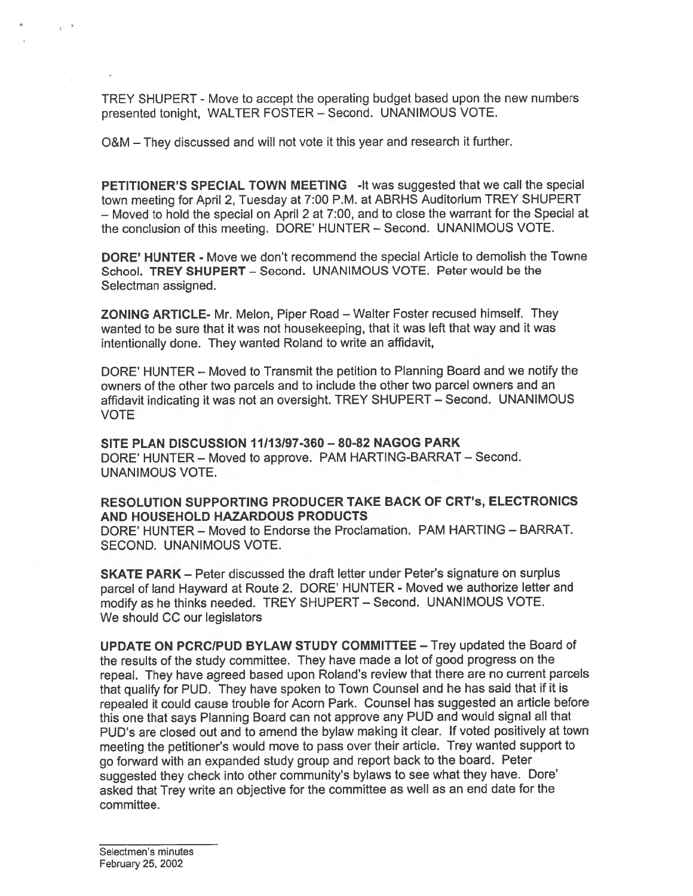TREY SHUPERT - Move to accep<sup>t</sup> the operating budget based upon the new numbers presented tonight, WALTER FOSTER — Second. UNANIMOUS VOTE.

O&M — They discussed and will not vote it this year and research it further.

PETITIONER'S SPECIAL TOWN MEETING -It was suggested that we call the special town meeting for April 2, Tuesday at 7:00 P.M. at ABRHS Auditorium TREY SHUPERT — Moved to hold the special on April 2 at 7:00, and to close the warrant for the Special at the conclusion of this meeting. DORE' HUNTER — Second. UNANIMOUS VOTE.

DORE' HUNTER - Move we don't recommend the special Article to demolish the Towne School. TREY SHUPERT — Second. UNANIMOUS VOTE. Peter would be the Selectman assigned.

ZONING ARTICLE- Mr. Melon, Piper Road — Walter Foster recused himself. They wanted to be sure that it was not housekeeping, that it was left that way and it was intentionally done. They wanted Roland to write an affidavit,

DORE' HUNTER — Moved to Transmit the petition to Planning Board and we notify the owners of the other two parcels and to include the other two parce<sup>l</sup> owners and an affidavit indicating it was not an oversight. TREY SHUPERT — Second. UNANIMOUS VOTE

SITE PLAN DISCUSSION 11113197-360 — 80-82 NAGOG PARK DORE' HUNTER — Moved to approve. PAM HARTING-BARRAT — Second. UNANIMOUS VOTE.

### RESOLUTION SUPPORTING PRODUCER TAKE BACK OF CRT's, ELECTRONICS AND HOUSEHOLD HAZARDOUS PRODUCTS

DORE' HUNTER — Moved to Endorse the Proclamation. PAM HARTING — BARRAT. SECOND. UNANIMOUS VOTE.

SKATE PARK — Peter discussed the draft letter under Peter's signature on surplus parce<sup>l</sup> of land Hayward at Route 2. DORE' HUNTER - Moved we authorize letter and modify as he thinks needed. TREY SHUPERT — Second. UNANIMOUS VOTE. We should CC our legislators

UPDATE ON PCRC/PUD BYLAW STUDY COMMITTEE — Trey updated the Board of the results of the study committee. They have made <sup>a</sup> lot of good progress on the repeal. They have agree<sup>d</sup> based upon Roland's review that there are no current parcels that qualify for PUD. They have spoken to Town Counsel and he has said that if it is repealed it could cause trouble for Acorn Park. Counsel has suggested an article before this one that says Planning Board can not approve any PUD and would signal all that PUD's are closed out and to amend the bylaw making it clear. If voted positively at town meeting the petitioner's would move to pass over their article. Trey wanted suppor<sup>t</sup> to go forward with an expanded study group and repor<sup>t</sup> back to the board. Peter suggested they check into other community's bylaws to see what they have. Dore' asked that Trey write an objective for the committee as well as an end date for the committee.

Selectmen's minutes February 25, 2002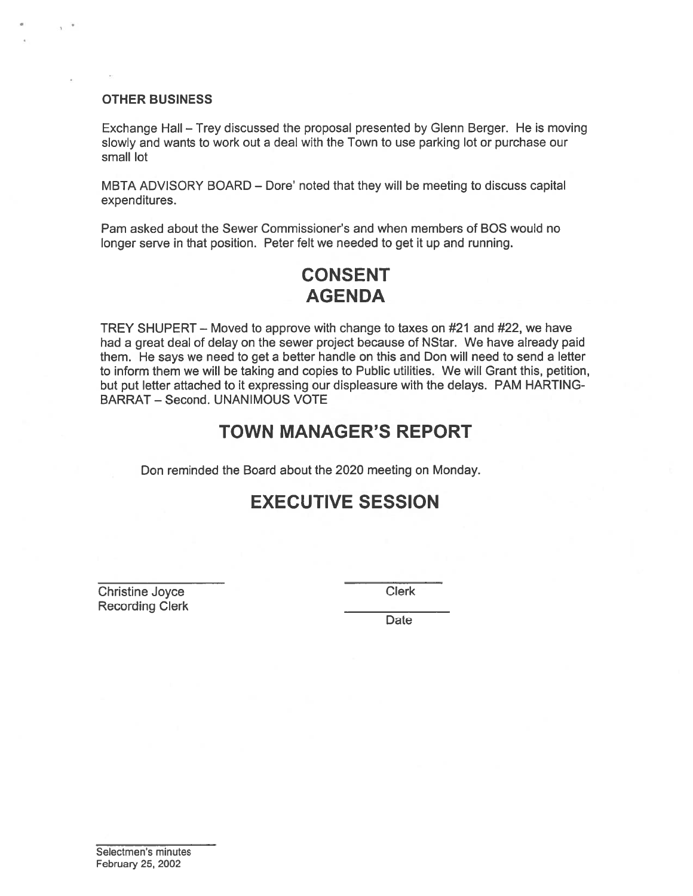#### OTHER BUSINESS

Exchange Hall — Trey discussed the proposal presented by Glenn Berger. He is moving slowly and wants to work out <sup>a</sup> deal with the Town to use parking lot or purchase our small lot

MBTA ADVISORY BOARD — Dote' noted that they will be meeting to discuss capital expenditures.

Pam asked about the Sewer Commissioner's and when members of BOS would no longer serve in that position. Peter felt we needed to ge<sup>t</sup> it up and running.

# CONSENT AGENDA

TREY SHUPERT — Moved to approve with change to taxes on #21 and #22, we have had <sup>a</sup> grea<sup>t</sup> deal of delay on the sewer project because of NStar. We have already paid them. He says we need to ge<sup>t</sup> <sup>a</sup> better handle on this and Don will need to send <sup>a</sup> letter to inform them we will be taking and copies to Public utilities. We will Grant this, petition, but pu<sup>t</sup> letter attached to it expressing our displeasure with the delays. PAM HARTING BARRAT — Second. UNANIMOUS VOTE OTHER BUSINESS<br>
Exchange Hall – Trey discussed the proposal presented alsowly and wants to work out a deal with the Town to use<br>
small lot<br>
MBTA ADVISORY BOARD – Dore' noted that they will be<br>
expenditures.<br>
Pam asked abou

## TOWN MANAGER'S REPORT

Don reminded the Board about the 2020 meeting on Monday.

# EXECUTIVE SESSION

Christine Joyce Clerk

Date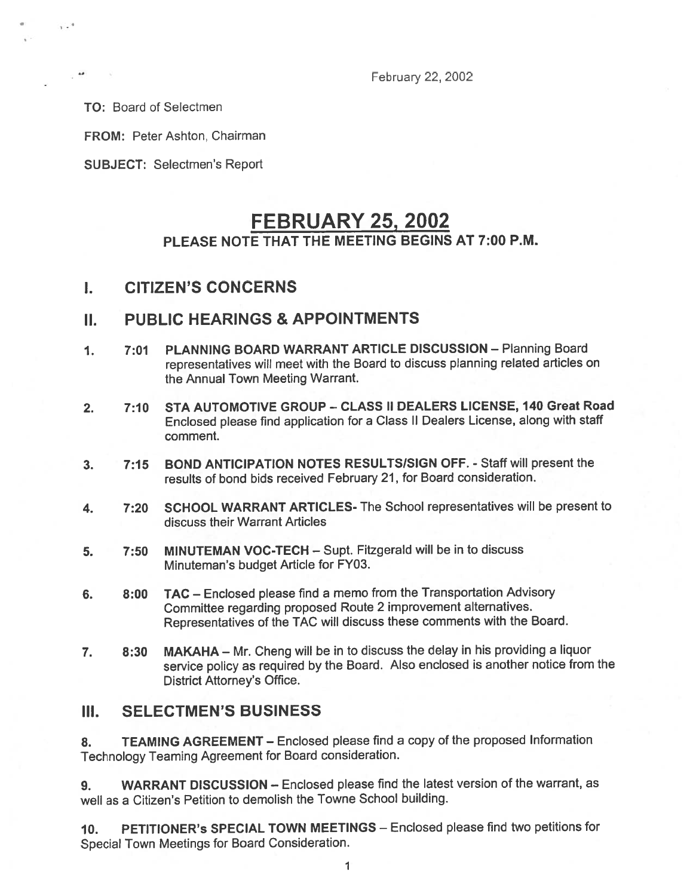February 22, 2002

TO: Board of Selectmen

 $1.3$ 

FROM: Peter Ashton, Chairman

SUBJECT: Selectmen's Report

# FEBRUARY 25, 2002 PLEASE NOTE THAT THE MEETING BEGINS AT 7:00 P.M.

## I. CITIZEN'S CONCERNS

### II. PUBLIC HEARINGS & APPOINTMENTS

- 1. 7:01 PLANNING BOARD WARRANT ARTICLE DISCUSSION Planning Board representatives will meet with the Board to discuss <sup>p</sup>lanning related articles on the Annual Town Meeting Warrant.
- 2. 7:10 STA AUTOMOTIVE GROUP CLASS II DEALERS LICENSE, 140 Great Road Enclosed <sup>p</sup>lease find application for <sup>a</sup> Class II Dealers License, along with staff comment.
- 3. 7:15 BOND ANTICIPATION NOTES RESULTSISIGN OFF. Staff will presen<sup>t</sup> the results of bond bids received February 21, for Board consideration.
- 4. 7:20 SCHOOL WARRANT ARTICLES- The School representatives will be presen<sup>t</sup> to discuss their Warrant Articles
- 5. 7:50 MINUTEMAN VOC-TECH Supt. Fitzgerald will be in to discuss Minuteman's budget Article for FY03.
- 6. 8:00 TAC Enclosed <sup>p</sup>lease find <sup>a</sup> memo from the Transportation Advisory Committee regarding proposed Route <sup>2</sup> improvement alternatives. Representatives of the TAC will discuss these comments with the Board.
- 7. 8:30 MAKAHA Mr. Cheng will be in to discuss the delay in his providing <sup>a</sup> liquor service policy as required by the Board. Also enclosed is another notice from the District Attorney's Office.

### III. SELECTMEN'S BUSINESS

8. TEAMING AGREEMENT - Enclosed please find a copy of the proposed Information Technology Teaming Agreement for Board consideration.

9. WARRANT DISCUSSION - Enclosed please find the latest version of the warrant, as well as <sup>a</sup> Citizen's Petition to demolish the Towne School building.

10. PETITIONER's SPECIAL TOWN MEETINGS — Enclosed please find two petitions for Special Town Meetings for Board Consideration.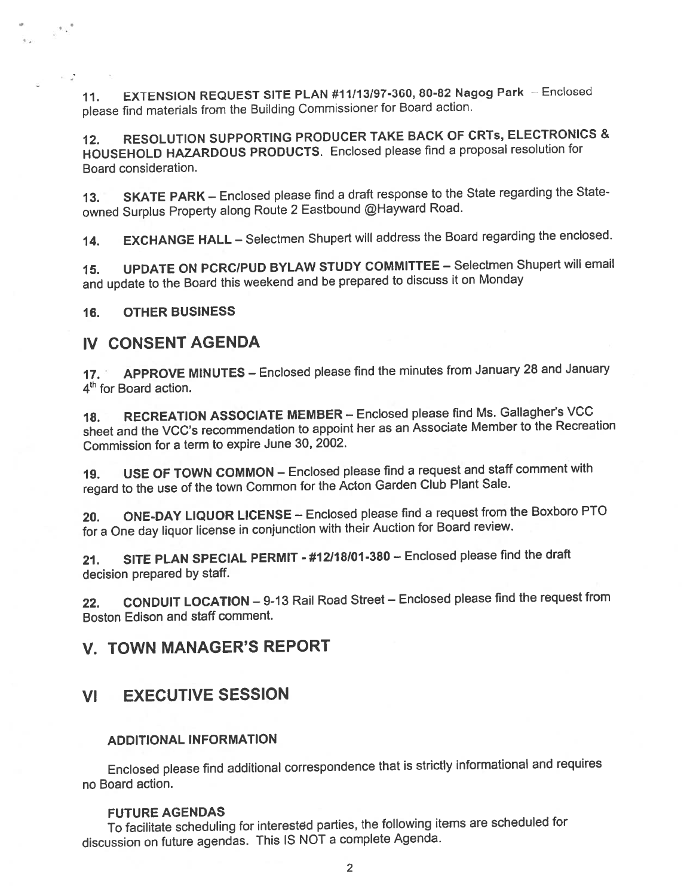11. EXTENSION REQUEST SITE PLAN #11/13/97-360, 80-82 Nagog Park — Enclosed <sup>p</sup>lease find materials from the Building Commissioner for Board action.

12. RESOLUTION SUPPORTING PRODUCER TAKE BACK OF CRTs, ELECTRONICS & HOUSEHOLD HAZARDOUS PRODUCTS. Enclosed <sup>p</sup>lease find <sup>a</sup> proposa<sup>l</sup> resolution for Board consideration.

13. SKATE PARK - Enclosed please find a draft response to the State regarding the Stateowned Surplus Property along Route 2 Eastbound @Hayward Road.

14. EXCHANGE HALL — Selectmen Shupert will address the Board regarding the enclosed.

15. UPDATE ON PCRC/PUD BYLAW STUDY COMMITTEE — Selectmen Shupert will email and update to the Board this weekend and be prepare<sup>d</sup> to discuss it on Monday

16. OTHER BUSINESS

 $\sim$   $\sim$ 

### IV CONSENT AGENDA

17. APPROVE MINUTES - Enclosed please find the minutes from January 28 and January 4<sup>th</sup> for Board action.

18. RECREATION ASSOCIATE MEMBER - Enclosed please find Ms. Gallagher's VCC sheet and the VCC's recommendation to appoint her as an Associate Member to the Recreation Commission for <sup>a</sup> term to expire June 30, 2002.

19. USE OF TOWN COMMON — Enclosed <sup>p</sup>lease find <sup>a</sup> reques<sup>t</sup> and staff comment with regar<sup>d</sup> to the use of the town Common for the Acton Garden Club Plant Sale.

20. ONE-DAY LIQUOR LICENSE — Enclosed <sup>p</sup>lease find <sup>a</sup> reques<sup>t</sup> from the Boxboro PTO for <sup>a</sup> One day liquor license in conjunction with their Auction for Board review.

21. SITE PLAN SPECIAL PERMIT - #12/18/01-380 — Enclosed <sup>p</sup>lease find the draft decision prepared by staff.

22. CONDUIT LOCATION — 9-13 Rail Road Street — Enclosed <sup>p</sup>lease find the reques<sup>t</sup> from Boston Edison and staff comment.

## V. TOWN MANAGER'S REPORT

### VI EXECUTIVE SESSION

### ADDITIONAL INFORMATION

Enclosed <sup>p</sup>lease find additional correspondence that is strictly informational and requires no Board action.

#### FUTURE AGENDAS

To facilitate scheduling for interested parties, the following items are scheduled for discussion on future agendas. This IS NOT <sup>a</sup> complete Agenda.